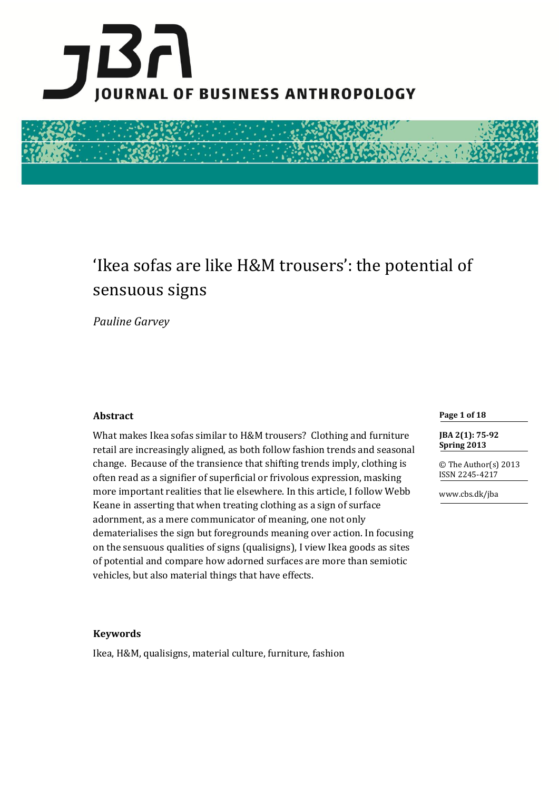



# 'Ikea sofas are like H&M trousers': the potential of sensuous signs

*Pauline Garvey*

## **Abstract**

What makes Ikea sofas similar to H&M trousers? Clothing and furniture retail are increasingly aligned, as both follow fashion trends and seasonal change. Because of the transience that shifting trends imply, clothing is often read as a signifier of superficial or frivolous expression, masking more important realities that lie elsewhere. In this article, I follow Webb Keane in asserting that when treating clothing as a sign of surface adornment, as a mere communicator of meaning, one not only dematerialises the sign but foregrounds meaning over action. In focusing on the sensuous qualities of signs (qualisigns), I view Ikea goods as sites of potential and compare how adorned surfaces are more than semiotic vehicles, but also material things that have effects.

#### **Page 1 of 18**

**JBA 2(1): 75-92 Spring 2013**

© The Author(s) 2013 ISSN 2245-4217

www.cbs.dk/jba

## **Keywords**

Ikea, H&M, qualisigns, material culture, furniture, fashion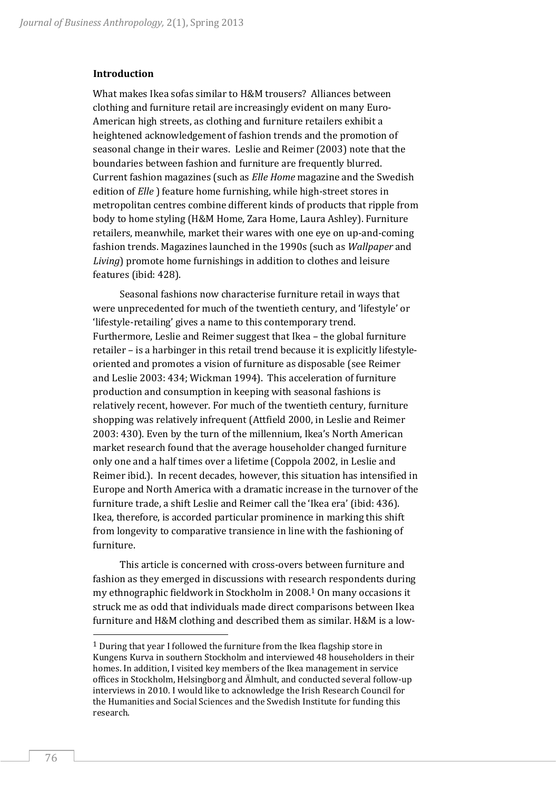#### **Introduction**

What makes Ikea sofas similar to H&M trousers? Alliances between clothing and furniture retail are increasingly evident on many Euro-American high streets, as clothing and furniture retailers exhibit a heightened acknowledgement of fashion trends and the promotion of seasonal change in their wares. Leslie and Reimer (2003) note that the boundaries between fashion and furniture are frequently blurred. Current fashion magazines (such as *Elle Home* magazine and the Swedish edition of *Elle* ) feature home furnishing, while high-street stores in metropolitan centres combine different kinds of products that ripple from body to home styling (H&M Home, Zara Home, Laura Ashley). Furniture retailers, meanwhile, market their wares with one eye on up-and-coming fashion trends. Magazines launched in the 1990s (such as *Wallpaper* and *Living*) promote home furnishings in addition to clothes and leisure features (ibid: 428).

Seasonal fashions now characterise furniture retail in ways that were unprecedented for much of the twentieth century, and 'lifestyle' or 'lifestyle-retailing' gives a name to this contemporary trend. Furthermore, Leslie and Reimer suggest that Ikea – the global furniture retailer – is a harbinger in this retail trend because it is explicitly lifestyleoriented and promotes a vision of furniture as disposable (see Reimer and Leslie 2003: 434; Wickman 1994). This acceleration of furniture production and consumption in keeping with seasonal fashions is relatively recent, however. For much of the twentieth century, furniture shopping was relatively infrequent (Attfield 2000, in Leslie and Reimer 2003: 430). Even by the turn of the millennium, Ikea's North American market research found that the average householder changed furniture only one and a half times over a lifetime (Coppola 2002, in Leslie and Reimer ibid.). In recent decades, however, this situation has intensified in Europe and North America with a dramatic increase in the turnover of the furniture trade, a shift Leslie and Reimer call the 'Ikea era' (ibid: 436). Ikea, therefore, is accorded particular prominence in marking this shift from longevity to comparative transience in line with the fashioning of furniture.

This article is concerned with cross-overs between furniture and fashion as they emerged in discussions with research respondents during my ethnographic fieldwork in Stockholm in 2008.<sup>1</sup> On many occasions it struck me as odd that individuals made direct comparisons between Ikea furniture and H&M clothing and described them as similar. H&M is a low-

 $1$  During that year I followed the furniture from the Ikea flagship store in Kungens Kurva in southern Stockholm and interviewed 48 householders in their homes. In addition, I visited key members of the Ikea management in service offices in Stockholm, Helsingborg and Älmhult, and conducted several follow-up interviews in 2010. I would like to acknowledge the Irish Research Council for the Humanities and Social Sciences and the Swedish Institute for funding this research.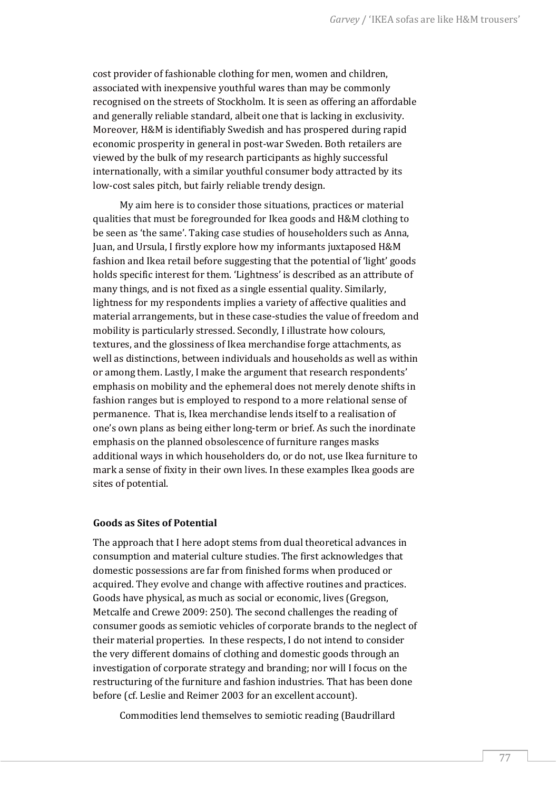cost provider of fashionable clothing for men, women and children, associated with inexpensive youthful wares than may be commonly recognised on the streets of Stockholm. It is seen as offering an affordable and generally reliable standard, albeit one that is lacking in exclusivity. Moreover, H&M is identifiably Swedish and has prospered during rapid economic prosperity in general in post-war Sweden. Both retailers are viewed by the bulk of my research participants as highly successful internationally, with a similar youthful consumer body attracted by its low-cost sales pitch, but fairly reliable trendy design.

My aim here is to consider those situations, practices or material qualities that must be foregrounded for Ikea goods and H&M clothing to be seen as 'the same'. Taking case studies of householders such as Anna, Juan, and Ursula, I firstly explore how my informants juxtaposed H&M fashion and Ikea retail before suggesting that the potential of 'light' goods holds specific interest for them. 'Lightness' is described as an attribute of many things, and is not fixed as a single essential quality. Similarly, lightness for my respondents implies a variety of affective qualities and material arrangements, but in these case-studies the value of freedom and mobility is particularly stressed. Secondly, I illustrate how colours, textures, and the glossiness of Ikea merchandise forge attachments, as well as distinctions, between individuals and households as well as within or among them. Lastly, I make the argument that research respondents' emphasis on mobility and the ephemeral does not merely denote shifts in fashion ranges but is employed to respond to a more relational sense of permanence. That is, Ikea merchandise lends itself to a realisation of one's own plans as being either long-term or brief. As such the inordinate emphasis on the planned obsolescence of furniture ranges masks additional ways in which householders do, or do not, use Ikea furniture to mark a sense of fixity in their own lives. In these examples Ikea goods are sites of potential.

## **Goods as Sites of Potential**

The approach that I here adopt stems from dual theoretical advances in consumption and material culture studies. The first acknowledges that domestic possessions are far from finished forms when produced or acquired. They evolve and change with affective routines and practices. Goods have physical, as much as social or economic, lives (Gregson, Metcalfe and Crewe 2009: 250). The second challenges the reading of consumer goods as semiotic vehicles of corporate brands to the neglect of their material properties. In these respects, I do not intend to consider the very different domains of clothing and domestic goods through an investigation of corporate strategy and branding; nor will I focus on the restructuring of the furniture and fashion industries. That has been done before (cf. Leslie and Reimer 2003 for an excellent account).

Commodities lend themselves to semiotic reading (Baudrillard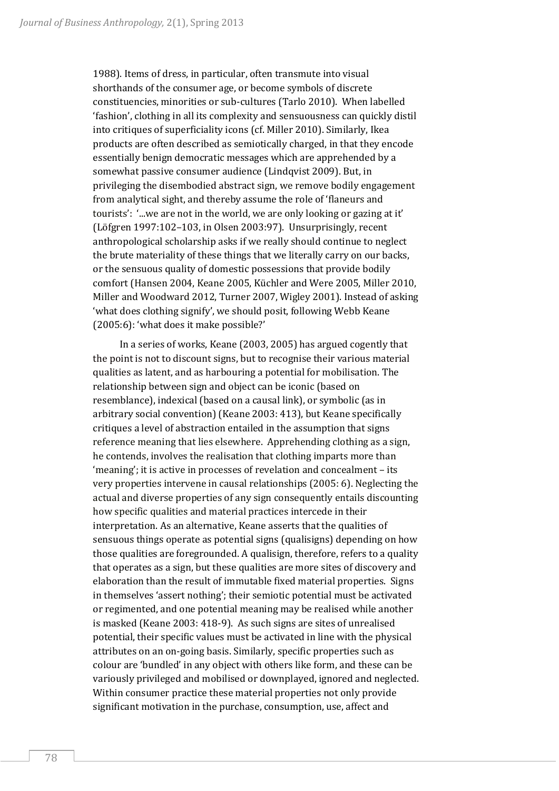1988). Items of dress, in particular, often transmute into visual shorthands of the consumer age, or become symbols of discrete constituencies, minorities or sub-cultures (Tarlo 2010). When labelled 'fashion', clothing in all its complexity and sensuousness can quickly distil into critiques of superficiality icons (cf. Miller 2010). Similarly, Ikea products are often described as semiotically charged, in that they encode essentially benign democratic messages which are apprehended by a somewhat passive consumer audience (Lindqvist 2009). But, in privileging the disembodied abstract sign, we remove bodily engagement from analytical sight, and thereby assume the role of 'flaneurs and tourists': '...we are not in the world, we are only looking or gazing at it' (Löfgren 1997:102–103, in Olsen 2003:97). Unsurprisingly, recent anthropological scholarship asks if we really should continue to neglect the brute materiality of these things that we literally carry on our backs, or the sensuous quality of domestic possessions that provide bodily comfort (Hansen 2004, Keane 2005, Küchler and Were 2005, Miller 2010, Miller and Woodward 2012, Turner 2007, Wigley 2001). Instead of asking 'what does clothing signify', we should posit, following Webb Keane (2005:6): 'what does it make possible?'

In a series of works, Keane (2003, 2005) has argued cogently that the point is not to discount signs, but to recognise their various material qualities as latent, and as harbouring a potential for mobilisation. The relationship between sign and object can be iconic (based on resemblance), indexical (based on a causal link), or symbolic (as in arbitrary social convention) (Keane 2003: 413), but Keane specifically critiques a level of abstraction entailed in the assumption that signs reference meaning that lies elsewhere. Apprehending clothing as a sign, he contends, involves the realisation that clothing imparts more than 'meaning'; it is active in processes of revelation and concealment – its very properties intervene in causal relationships (2005: 6). Neglecting the actual and diverse properties of any sign consequently entails discounting how specific qualities and material practices intercede in their interpretation. As an alternative, Keane asserts that the qualities of sensuous things operate as potential signs (qualisigns) depending on how those qualities are foregrounded. A qualisign, therefore, refers to a quality that operates as a sign, but these qualities are more sites of discovery and elaboration than the result of immutable fixed material properties. Signs in themselves 'assert nothing'; their semiotic potential must be activated or regimented, and one potential meaning may be realised while another is masked (Keane 2003: 418-9). As such signs are sites of unrealised potential, their specific values must be activated in line with the physical attributes on an on-going basis. Similarly, specific properties such as colour are 'bundled' in any object with others like form, and these can be variously privileged and mobilised or downplayed, ignored and neglected. Within consumer practice these material properties not only provide significant motivation in the purchase, consumption, use, affect and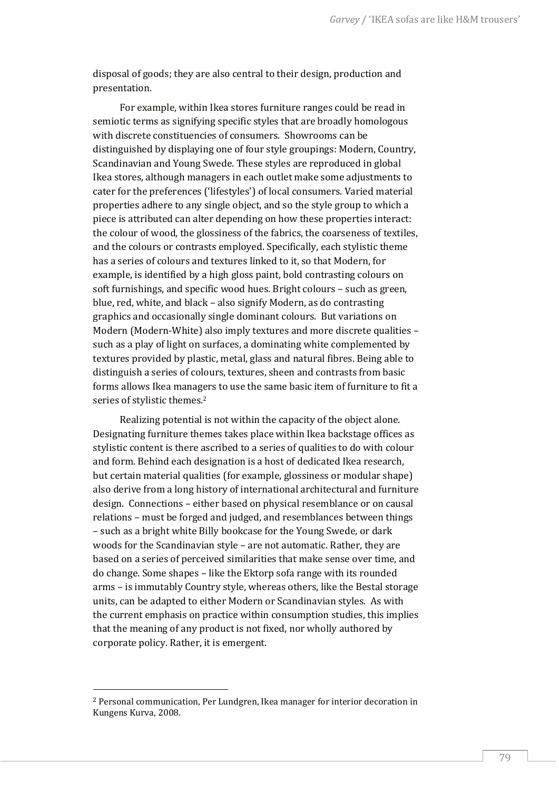disposal of goods; they are also central to their design, production and presentation.

For example, within Ikea stores furniture ranges could be read in semiotic terms as signifying specific styles that are broadly homologous with discrete constituencies of consumers. Showrooms can be distinguished by displaying one of four style groupings: Modern, Country, Scandinavian and Young Swede. These styles are reproduced in global Ikea stores, although managers in each outlet make some adjustments to cater for the preferences ('lifestyles') of local consumers. Varied material properties adhere to any single object, and so the style group to which a piece is attributed can alter depending on how these properties interact: the colour of wood, the glossiness of the fabrics, the coarseness of textiles, and the colours or contrasts employed. Specifically, each stylistic theme has a series of colours and textures linked to it, so that Modern, for example, is identified by a high gloss paint, bold contrasting colours on soft furnishings, and specific wood hues. Bright colours – such as green, blue, red, white, and black – also signify Modern, as do contrasting graphics and occasionally single dominant colours. But variations on Modern (Modern-White) also imply textures and more discrete qualities – such as a play of light on surfaces, a dominating white complemented by textures provided by plastic, metal, glass and natural fibres. Being able to distinguish a series of colours, textures, sheen and contrasts from basic forms allows Ikea managers to use the same basic item of furniture to fit a series of stylistic themes.<sup>2</sup>

Realizing potential is not within the capacity of the object alone. Designating furniture themes takes place within Ikea backstage offices as stylistic content is there ascribed to a series of qualities to do with colour and form. Behind each designation is a host of dedicated Ikea research, but certain material qualities (for example, glossiness or modular shape) also derive from a long history of international architectural and furniture design. Connections – either based on physical resemblance or on causal relations – must be forged and judged, and resemblances between things – such as a bright white Billy bookcase for the Young Swede, or dark woods for the Scandinavian style – are not automatic. Rather, they are based on a series of perceived similarities that make sense over time, and do change. Some shapes – like the Ektorp sofa range with its rounded arms – is immutably Country style, whereas others, like the Bestal storage units, can be adapted to either Modern or Scandinavian styles. As with the current emphasis on practice within consumption studies, this implies that the meaning of any product is not fixed, nor wholly authored by corporate policy. Rather, it is emergent.

<sup>2</sup> Personal communication, Per Lundgren, Ikea manager for interior decoration in Kungens Kurva, 2008.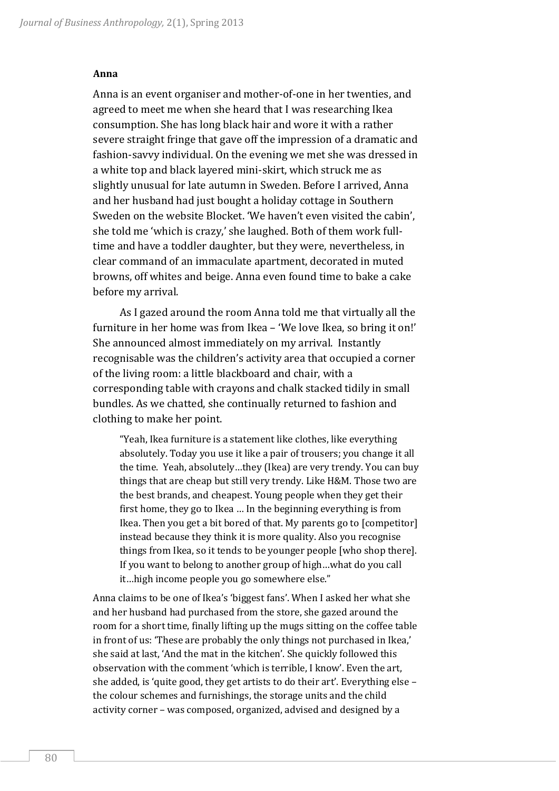#### **Anna**

Anna is an event organiser and mother-of-one in her twenties, and agreed to meet me when she heard that I was researching Ikea consumption. She has long black hair and wore it with a rather severe straight fringe that gave off the impression of a dramatic and fashion-savvy individual. On the evening we met she was dressed in a white top and black layered mini-skirt, which struck me as slightly unusual for late autumn in Sweden. Before I arrived, Anna and her husband had just bought a holiday cottage in Southern Sweden on the website Blocket. 'We haven't even visited the cabin', she told me 'which is crazy,' she laughed. Both of them work fulltime and have a toddler daughter, but they were, nevertheless, in clear command of an immaculate apartment, decorated in muted browns, off whites and beige. Anna even found time to bake a cake before my arrival.

As I gazed around the room Anna told me that virtually all the furniture in her home was from Ikea – 'We love Ikea, so bring it on!' She announced almost immediately on my arrival. Instantly recognisable was the children's activity area that occupied a corner of the living room: a little blackboard and chair, with a corresponding table with crayons and chalk stacked tidily in small bundles. As we chatted, she continually returned to fashion and clothing to make her point.

"Yeah, Ikea furniture is a statement like clothes, like everything absolutely. Today you use it like a pair of trousers; you change it all the time. Yeah, absolutely…they (Ikea) are very trendy. You can buy things that are cheap but still very trendy. Like H&M. Those two are the best brands, and cheapest. Young people when they get their first home, they go to Ikea … In the beginning everything is from Ikea. Then you get a bit bored of that. My parents go to [competitor] instead because they think it is more quality. Also you recognise things from Ikea, so it tends to be younger people [who shop there]. If you want to belong to another group of high…what do you call it…high income people you go somewhere else."

Anna claims to be one of Ikea's 'biggest fans'. When I asked her what she and her husband had purchased from the store, she gazed around the room for a short time, finally lifting up the mugs sitting on the coffee table in front of us: 'These are probably the only things not purchased in Ikea,' she said at last, 'And the mat in the kitchen'. She quickly followed this observation with the comment 'which is terrible, I know'. Even the art, she added, is 'quite good, they get artists to do their art'. Everything else – the colour schemes and furnishings, the storage units and the child activity corner – was composed, organized, advised and designed by a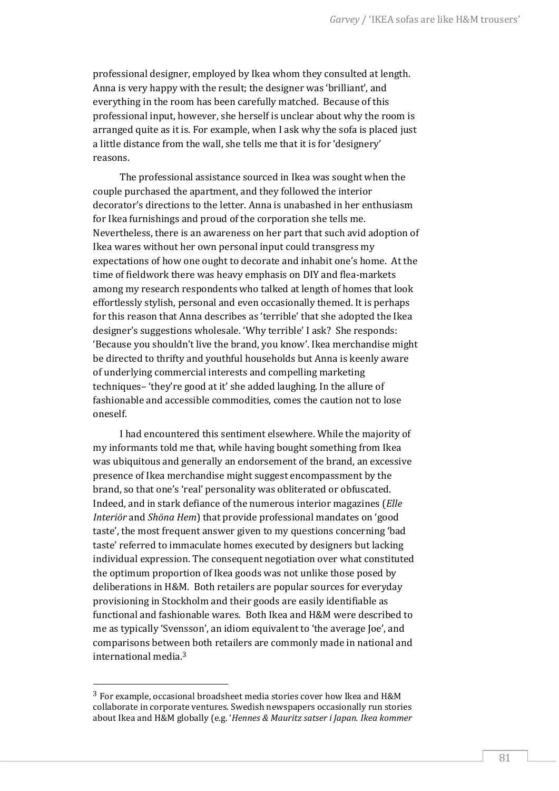professional designer, employed by Ikea whom they consulted at length. Anna is very happy with the result; the designer was 'brilliant', and everything in the room has been carefully matched. Because of this professional input, however, she herself is unclear about why the room is arranged quite as it is. For example, when I ask why the sofa is placed just a little distance from the wall, she tells me that it is for 'designery' reasons.

The professional assistance sourced in Ikea was sought when the couple purchased the apartment, and they followed the interior decorator's directions to the letter. Anna is unabashed in her enthusiasm for Ikea furnishings and proud of the corporation she tells me. Nevertheless, there is an awareness on her part that such avid adoption of Ikea wares without her own personal input could transgress my expectations of how one ought to decorate and inhabit one's home. At the time of fieldwork there was heavy emphasis on DIY and flea-markets among my research respondents who talked at length of homes that look effortlessly stylish, personal and even occasionally themed. It is perhaps for this reason that Anna describes as 'terrible' that she adopted the Ikea designer's suggestions wholesale. 'Why terrible' I ask? She responds: 'Because you shouldn't live the brand, you know'. Ikea merchandise might be directed to thrifty and youthful households but Anna is keenly aware of underlying commercial interests and compelling marketing techniques– 'they're good at it' she added laughing. In the allure of fashionable and accessible commodities, comes the caution not to lose oneself.

I had encountered this sentiment elsewhere. While the majority of my informants told me that, while having bought something from Ikea was ubiquitous and generally an endorsement of the brand, an excessive presence of Ikea merchandise might suggest encompassment by the brand, so that one's 'real' personality was obliterated or obfuscated. Indeed, and in stark defiance of the numerous interior magazines (*Elle Interiör* and *Shöna Hem*) that provide professional mandates on 'good taste', the most frequent answer given to my questions concerning 'bad taste' referred to immaculate homes executed by designers but lacking individual expression. The consequent negotiation over what constituted the optimum proportion of Ikea goods was not unlike those posed by deliberations in H&M. Both retailers are popular sources for everyday provisioning in Stockholm and their goods are easily identifiable as functional and fashionable wares. Both Ikea and H&M were described to me as typically 'Svensson', an idiom equivalent to 'the average Joe', and comparisons between both retailers are commonly made in national and international media.<sup>3</sup>

<sup>3</sup> For example, occasional broadsheet media stories cover how Ikea and H&M collaborate in corporate ventures. Swedish newspapers occasionally run stories about Ikea and H&M globally (e.g. '*Hennes & Mauritz satser i Japan. Ikea kommer*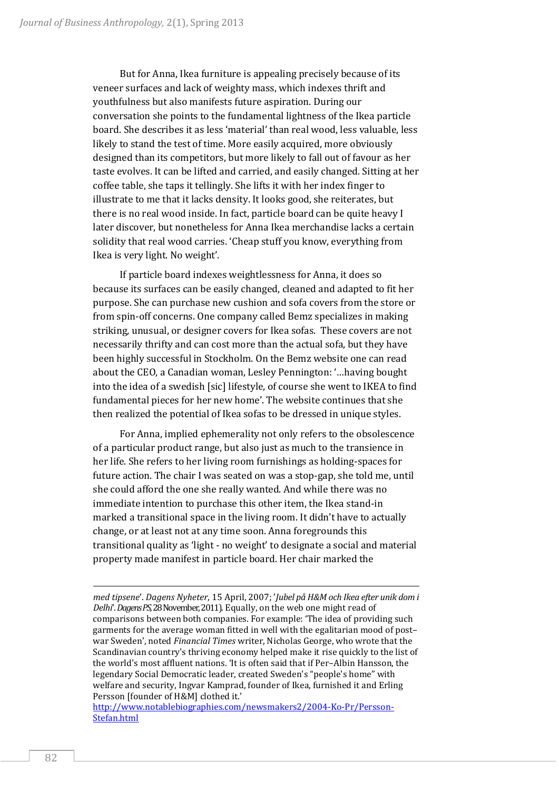But for Anna, Ikea furniture is appealing precisely because of its veneer surfaces and lack of weighty mass, which indexes thrift and youthfulness but also manifests future aspiration. During our conversation she points to the fundamental lightness of the Ikea particle board. She describes it as less 'material' than real wood, less valuable, less likely to stand the test of time. More easily acquired, more obviously designed than its competitors, but more likely to fall out of favour as her taste evolves. It can be lifted and carried, and easily changed. Sitting at her coffee table, she taps it tellingly. She lifts it with her index finger to illustrate to me that it lacks density. It looks good, she reiterates, but there is no real wood inside. In fact, particle board can be quite heavy I later discover, but nonetheless for Anna Ikea merchandise lacks a certain solidity that real wood carries. 'Cheap stuff you know, everything from Ikea is very light. No weight'.

If particle board indexes weightlessness for Anna, it does so because its surfaces can be easily changed, cleaned and adapted to fit her purpose. She can purchase new cushion and sofa covers from the store or from spin-off concerns. One company called Bemz specializes in making striking, unusual, or designer covers for Ikea sofas. These covers are not necessarily thrifty and can cost more than the actual sofa, but they have been highly successful in Stockholm. On the Bemz website one can read about the CEO, a Canadian woman, Lesley Pennington: '…having bought into the idea of a swedish [sic] lifestyle, of course she went to IKEA to find fundamental pieces for her new home'. The website continues that she then realized the potential of Ikea sofas to be dressed in unique styles.

For Anna, implied ephemerality not only refers to the obsolescence of a particular product range, but also just as much to the transience in her life. She refers to her living room furnishings as holding-spaces for future action. The chair I was seated on was a stop-gap, she told me, until she could afford the one she really wanted. And while there was no immediate intention to purchase this other item, the Ikea stand-in marked a transitional space in the living room. It didn't have to actually change, or at least not at any time soon. Anna foregrounds this transitional quality as 'light - no weight' to designate a social and material property made manifest in particle board. Her chair marked the

*med tipsene*'. *Dagens Nyheter*, 15 April, 2007; '*Jubel på H&M och Ikea efter unik dom i Delhi*'.*Dagens PS,*28 November, 2011). Equally, on the web one might read of comparisons between both companies. For example: 'The idea of providing such garments for the average woman fitted in well with the egalitarian mood of post– war Sweden', noted *Financial Times* writer, Nicholas George, who wrote that the Scandinavian country's thriving economy helped make it rise quickly to the list of the world's most affluent nations. 'It is often said that if Per–Albin Hansson, the legendary Social Democratic leader, created Sweden's "people's home" with welfare and security, Ingvar Kamprad, founder of Ikea, furnished it and Erling Persson [founder of H&M] clothed it.'

[http://www.notablebiographies.com/newsmakers2/2004-Ko-Pr/Persson-](http://www.notablebiographies.com/newsmakers2/2004-Ko-Pr/Persson-Stefan.html)[Stefan.html](http://www.notablebiographies.com/newsmakers2/2004-Ko-Pr/Persson-Stefan.html)

<u>.</u>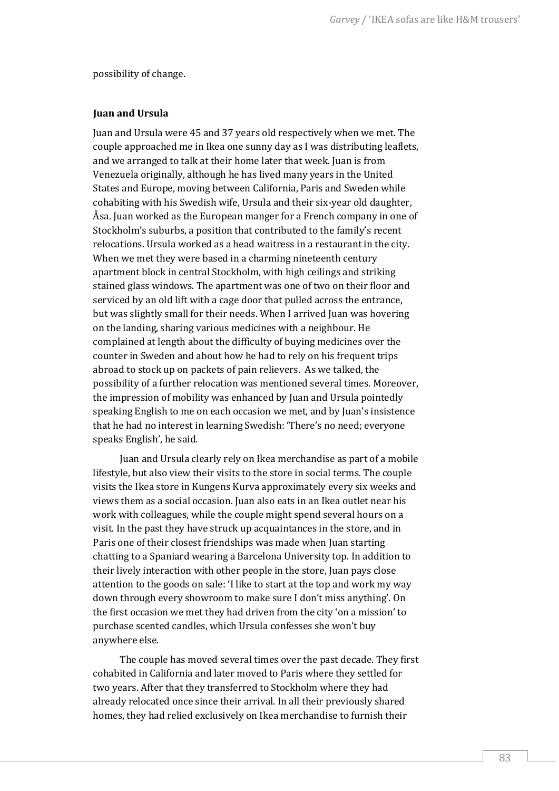possibility of change.

### **Juan and Ursula**

Juan and Ursula were 45 and 37 years old respectively when we met. The couple approached me in Ikea one sunny day as I was distributing leaflets, and we arranged to talk at their home later that week. Juan is from Venezuela originally, although he has lived many years in the United States and Europe, moving between California, Paris and Sweden while cohabiting with his Swedish wife, Ursula and their six-year old daughter, Åsa. Juan worked as the European manger for a French company in one of Stockholm's suburbs, a position that contributed to the family's recent relocations. Ursula worked as a head waitress in a restaurant in the city. When we met they were based in a charming nineteenth century apartment block in central Stockholm, with high ceilings and striking stained glass windows. The apartment was one of two on their floor and serviced by an old lift with a cage door that pulled across the entrance, but was slightly small for their needs. When I arrived Juan was hovering on the landing, sharing various medicines with a neighbour. He complained at length about the difficulty of buying medicines over the counter in Sweden and about how he had to rely on his frequent trips abroad to stock up on packets of pain relievers. As we talked, the possibility of a further relocation was mentioned several times. Moreover, the impression of mobility was enhanced by Juan and Ursula pointedly speaking English to me on each occasion we met, and by Juan's insistence that he had no interest in learning Swedish: 'There's no need; everyone speaks English', he said.

Juan and Ursula clearly rely on Ikea merchandise as part of a mobile lifestyle, but also view their visits to the store in social terms. The couple visits the Ikea store in Kungens Kurva approximately every six weeks and views them as a social occasion. Juan also eats in an Ikea outlet near his work with colleagues, while the couple might spend several hours on a visit. In the past they have struck up acquaintances in the store, and in Paris one of their closest friendships was made when Juan starting chatting to a Spaniard wearing a Barcelona University top. In addition to their lively interaction with other people in the store, Juan pays close attention to the goods on sale: 'I like to start at the top and work my way down through every showroom to make sure I don't miss anything'. On the first occasion we met they had driven from the city 'on a mission' to purchase scented candles, which Ursula confesses she won't buy anywhere else.

The couple has moved several times over the past decade. They first cohabited in California and later moved to Paris where they settled for two years. After that they transferred to Stockholm where they had already relocated once since their arrival. In all their previously shared homes, they had relied exclusively on Ikea merchandise to furnish their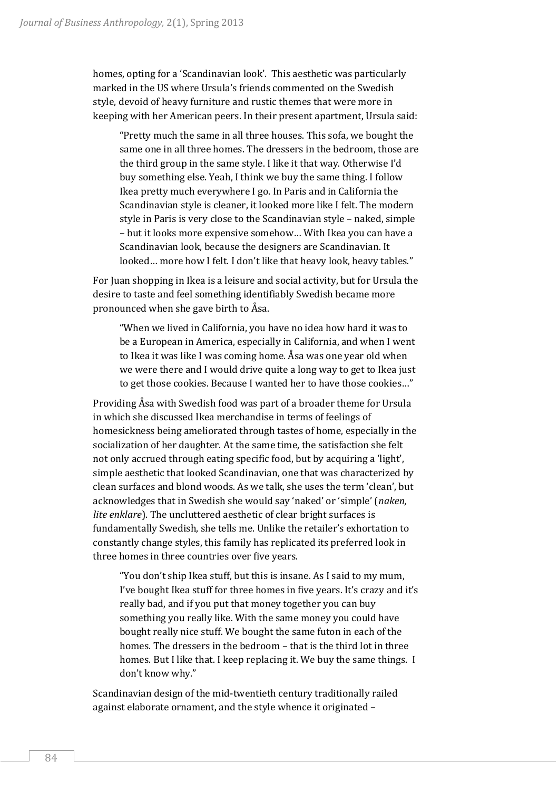homes, opting for a 'Scandinavian look'. This aesthetic was particularly marked in the US where Ursula's friends commented on the Swedish style, devoid of heavy furniture and rustic themes that were more in keeping with her American peers. In their present apartment, Ursula said:

"Pretty much the same in all three houses. This sofa, we bought the same one in all three homes. The dressers in the bedroom, those are the third group in the same style. I like it that way. Otherwise I'd buy something else. Yeah, I think we buy the same thing. I follow Ikea pretty much everywhere I go. In Paris and in California the Scandinavian style is cleaner, it looked more like I felt. The modern style in Paris is very close to the Scandinavian style – naked, simple – but it looks more expensive somehow… With Ikea you can have a Scandinavian look, because the designers are Scandinavian. It looked… more how I felt. I don't like that heavy look, heavy tables."

For Juan shopping in Ikea is a leisure and social activity, but for Ursula the desire to taste and feel something identifiably Swedish became more pronounced when she gave birth to Åsa.

"When we lived in California, you have no idea how hard it was to be a European in America, especially in California, and when I went to Ikea it was like I was coming home. Åsa was one year old when we were there and I would drive quite a long way to get to Ikea just to get those cookies. Because I wanted her to have those cookies…"

Providing Åsa with Swedish food was part of a broader theme for Ursula in which she discussed Ikea merchandise in terms of feelings of homesickness being ameliorated through tastes of home, especially in the socialization of her daughter. At the same time, the satisfaction she felt not only accrued through eating specific food, but by acquiring a 'light', simple aesthetic that looked Scandinavian, one that was characterized by clean surfaces and blond woods. As we talk, she uses the term 'clean', but acknowledges that in Swedish she would say 'naked' or 'simple' (*naken, lite enklare*). The uncluttered aesthetic of clear bright surfaces is fundamentally Swedish, she tells me. Unlike the retailer's exhortation to constantly change styles, this family has replicated its preferred look in three homes in three countries over five years.

"You don't ship Ikea stuff, but this is insane. As I said to my mum, I've bought Ikea stuff for three homes in five years. It's crazy and it's really bad, and if you put that money together you can buy something you really like. With the same money you could have bought really nice stuff. We bought the same futon in each of the homes. The dressers in the bedroom – that is the third lot in three homes. But I like that. I keep replacing it. We buy the same things. I don't know why."

Scandinavian design of the mid-twentieth century traditionally railed against elaborate ornament, and the style whence it originated –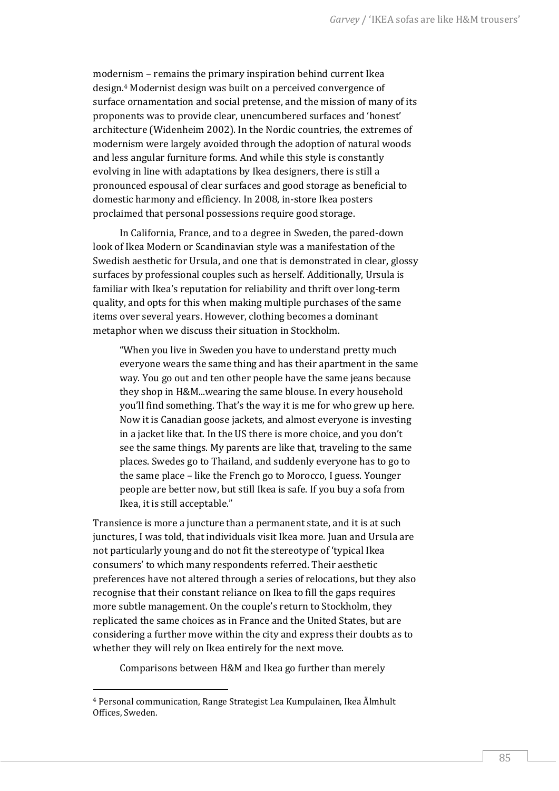modernism – remains the primary inspiration behind current Ikea design.<sup>4</sup> Modernist design was built on a perceived convergence of surface ornamentation and social pretense, and the mission of many of its proponents was to provide clear, unencumbered surfaces and 'honest' architecture (Widenheim 2002). In the Nordic countries, the extremes of modernism were largely avoided through the adoption of natural woods and less angular furniture forms. And while this style is constantly evolving in line with adaptations by Ikea designers, there is still a pronounced espousal of clear surfaces and good storage as beneficial to domestic harmony and efficiency. In 2008, in-store Ikea posters proclaimed that personal possessions require good storage.

In California, France, and to a degree in Sweden, the pared-down look of Ikea Modern or Scandinavian style was a manifestation of the Swedish aesthetic for Ursula, and one that is demonstrated in clear, glossy surfaces by professional couples such as herself. Additionally, Ursula is familiar with Ikea's reputation for reliability and thrift over long-term quality, and opts for this when making multiple purchases of the same items over several years. However, clothing becomes a dominant metaphor when we discuss their situation in Stockholm.

"When you live in Sweden you have to understand pretty much everyone wears the same thing and has their apartment in the same way. You go out and ten other people have the same jeans because they shop in H&M...wearing the same blouse. In every household you'll find something. That's the way it is me for who grew up here. Now it is Canadian goose jackets, and almost everyone is investing in a jacket like that. In the US there is more choice, and you don't see the same things. My parents are like that, traveling to the same places. Swedes go to Thailand, and suddenly everyone has to go to the same place – like the French go to Morocco, I guess. Younger people are better now, but still Ikea is safe. If you buy a sofa from Ikea, it is still acceptable."

Transience is more a juncture than a permanent state, and it is at such junctures, I was told, that individuals visit Ikea more. Juan and Ursula are not particularly young and do not fit the stereotype of 'typical Ikea consumers' to which many respondents referred. Their aesthetic preferences have not altered through a series of relocations, but they also recognise that their constant reliance on Ikea to fill the gaps requires more subtle management. On the couple's return to Stockholm, they replicated the same choices as in France and the United States, but are considering a further move within the city and express their doubts as to whether they will rely on Ikea entirely for the next move.

Comparisons between H&M and Ikea go further than merely

<sup>4</sup> Personal communication, Range Strategist Lea Kumpulainen, Ikea Älmhult Offices, Sweden.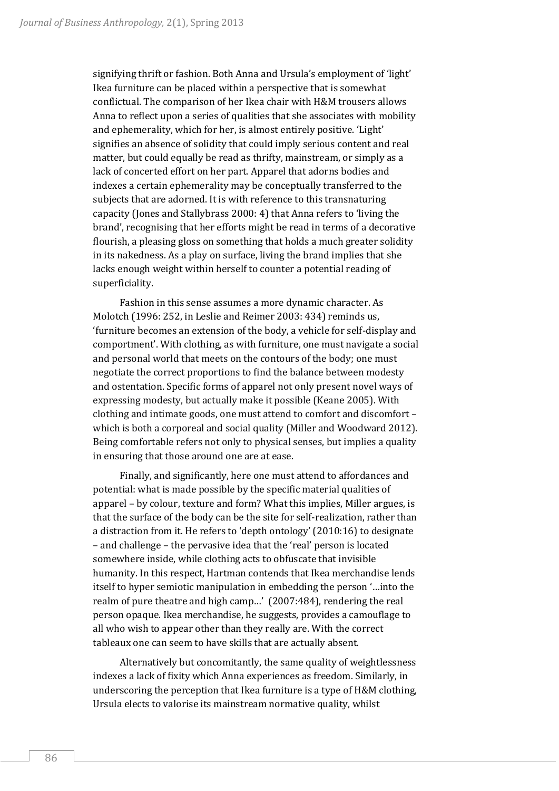signifying thrift or fashion. Both Anna and Ursula's employment of 'light' Ikea furniture can be placed within a perspective that is somewhat conflictual. The comparison of her Ikea chair with H&M trousers allows Anna to reflect upon a series of qualities that she associates with mobility and ephemerality, which for her, is almost entirely positive. 'Light' signifies an absence of solidity that could imply serious content and real matter, but could equally be read as thrifty, mainstream, or simply as a lack of concerted effort on her part. Apparel that adorns bodies and indexes a certain ephemerality may be conceptually transferred to the subjects that are adorned. It is with reference to this transnaturing capacity (Jones and Stallybrass 2000: 4) that Anna refers to 'living the brand', recognising that her efforts might be read in terms of a decorative flourish, a pleasing gloss on something that holds a much greater solidity in its nakedness. As a play on surface, living the brand implies that she lacks enough weight within herself to counter a potential reading of superficiality.

Fashion in this sense assumes a more dynamic character. As Molotch (1996: 252, in Leslie and Reimer 2003: 434) reminds us, 'furniture becomes an extension of the body, a vehicle for self-display and comportment'. With clothing, as with furniture, one must navigate a social and personal world that meets on the contours of the body; one must negotiate the correct proportions to find the balance between modesty and ostentation. Specific forms of apparel not only present novel ways of expressing modesty, but actually make it possible (Keane 2005). With clothing and intimate goods, one must attend to comfort and discomfort – which is both a corporeal and social quality (Miller and Woodward 2012). Being comfortable refers not only to physical senses, but implies a quality in ensuring that those around one are at ease.

Finally, and significantly, here one must attend to affordances and potential: what is made possible by the specific material qualities of apparel – by colour, texture and form? What this implies, Miller argues, is that the surface of the body can be the site for self-realization, rather than a distraction from it. He refers to 'depth ontology' (2010:16) to designate – and challenge – the pervasive idea that the 'real' person is located somewhere inside, while clothing acts to obfuscate that invisible humanity. In this respect, Hartman contends that Ikea merchandise lends itself to hyper semiotic manipulation in embedding the person '…into the realm of pure theatre and high camp…' (2007:484), rendering the real person opaque. Ikea merchandise, he suggests, provides a camouflage to all who wish to appear other than they really are. With the correct tableaux one can seem to have skills that are actually absent.

Alternatively but concomitantly, the same quality of weightlessness indexes a lack of fixity which Anna experiences as freedom. Similarly, in underscoring the perception that Ikea furniture is a type of H&M clothing, Ursula elects to valorise its mainstream normative quality, whilst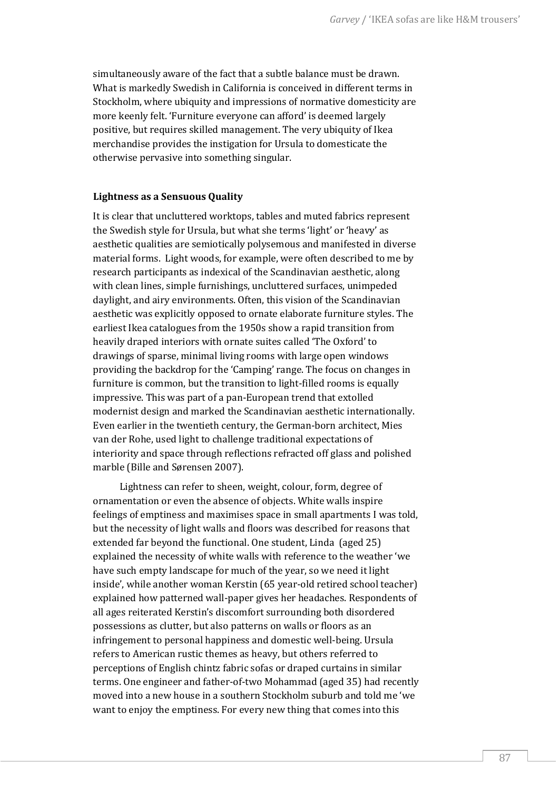simultaneously aware of the fact that a subtle balance must be drawn. What is markedly Swedish in California is conceived in different terms in Stockholm, where ubiquity and impressions of normative domesticity are more keenly felt. 'Furniture everyone can afford' is deemed largely positive, but requires skilled management. The very ubiquity of Ikea merchandise provides the instigation for Ursula to domesticate the otherwise pervasive into something singular.

### **Lightness as a Sensuous Quality**

It is clear that uncluttered worktops, tables and muted fabrics represent the Swedish style for Ursula, but what she terms 'light' or 'heavy' as aesthetic qualities are semiotically polysemous and manifested in diverse material forms. Light woods, for example, were often described to me by research participants as indexical of the Scandinavian aesthetic, along with clean lines, simple furnishings, uncluttered surfaces, unimpeded daylight, and airy environments. Often, this vision of the Scandinavian aesthetic was explicitly opposed to ornate elaborate furniture styles. The earliest Ikea catalogues from the 1950s show a rapid transition from heavily draped interiors with ornate suites called 'The Oxford' to drawings of sparse, minimal living rooms with large open windows providing the backdrop for the 'Camping' range. The focus on changes in furniture is common, but the transition to light-filled rooms is equally impressive. This was part of a pan-European trend that extolled modernist design and marked the Scandinavian aesthetic internationally. Even earlier in the twentieth century, the German-born architect, Mies van der Rohe, used light to challenge traditional expectations of interiority and space through reflections refracted off glass and polished marble (Bille and Sørensen 2007).

Lightness can refer to sheen, weight, colour, form, degree of ornamentation or even the absence of objects. White walls inspire feelings of emptiness and maximises space in small apartments I was told, but the necessity of light walls and floors was described for reasons that extended far beyond the functional. One student, Linda (aged 25) explained the necessity of white walls with reference to the weather 'we have such empty landscape for much of the year, so we need it light inside', while another woman Kerstin (65 year-old retired school teacher) explained how patterned wall-paper gives her headaches. Respondents of all ages reiterated Kerstin's discomfort surrounding both disordered possessions as clutter, but also patterns on walls or floors as an infringement to personal happiness and domestic well-being. Ursula refers to American rustic themes as heavy, but others referred to perceptions of English chintz fabric sofas or draped curtains in similar terms. One engineer and father-of-two Mohammad (aged 35) had recently moved into a new house in a southern Stockholm suburb and told me 'we want to enjoy the emptiness. For every new thing that comes into this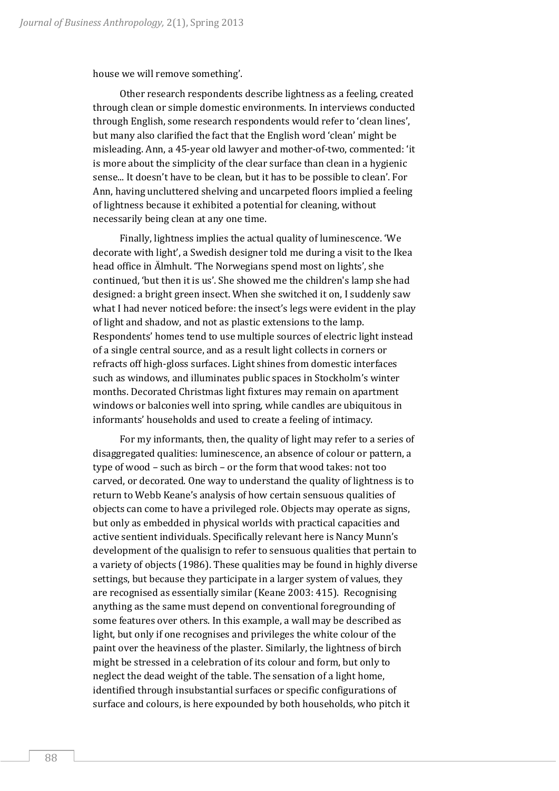house we will remove something'.

Other research respondents describe lightness as a feeling, created through clean or simple domestic environments. In interviews conducted through English, some research respondents would refer to 'clean lines', but many also clarified the fact that the English word 'clean' might be misleading. Ann, a 45-year old lawyer and mother-of-two, commented: 'it is more about the simplicity of the clear surface than clean in a hygienic sense... It doesn't have to be clean, but it has to be possible to clean'. For Ann, having uncluttered shelving and uncarpeted floors implied a feeling of lightness because it exhibited a potential for cleaning, without necessarily being clean at any one time.

Finally, lightness implies the actual quality of luminescence. 'We decorate with light', a Swedish designer told me during a visit to the Ikea head office in Älmhult. 'The Norwegians spend most on lights', she continued, 'but then it is us'. She showed me the children's lamp she had designed: a bright green insect. When she switched it on, I suddenly saw what I had never noticed before: the insect's legs were evident in the play of light and shadow, and not as plastic extensions to the lamp. Respondents' homes tend to use multiple sources of electric light instead of a single central source, and as a result light collects in corners or refracts off high-gloss surfaces. Light shines from domestic interfaces such as windows, and illuminates public spaces in Stockholm's winter months. Decorated Christmas light fixtures may remain on apartment windows or balconies well into spring, while candles are ubiquitous in informants' households and used to create a feeling of intimacy.

For my informants, then, the quality of light may refer to a series of disaggregated qualities: luminescence, an absence of colour or pattern, a type of wood – such as birch – or the form that wood takes: not too carved, or decorated. One way to understand the quality of lightness is to return to Webb Keane's analysis of how certain sensuous qualities of objects can come to have a privileged role. Objects may operate as signs, but only as embedded in physical worlds with practical capacities and active sentient individuals. Specifically relevant here is Nancy Munn's development of the qualisign to refer to sensuous qualities that pertain to a variety of objects (1986). These qualities may be found in highly diverse settings, but because they participate in a larger system of values, they are recognised as essentially similar (Keane 2003: 415). Recognising anything as the same must depend on conventional foregrounding of some features over others. In this example, a wall may be described as light, but only if one recognises and privileges the white colour of the paint over the heaviness of the plaster. Similarly, the lightness of birch might be stressed in a celebration of its colour and form, but only to neglect the dead weight of the table. The sensation of a light home, identified through insubstantial surfaces or specific configurations of surface and colours, is here expounded by both households, who pitch it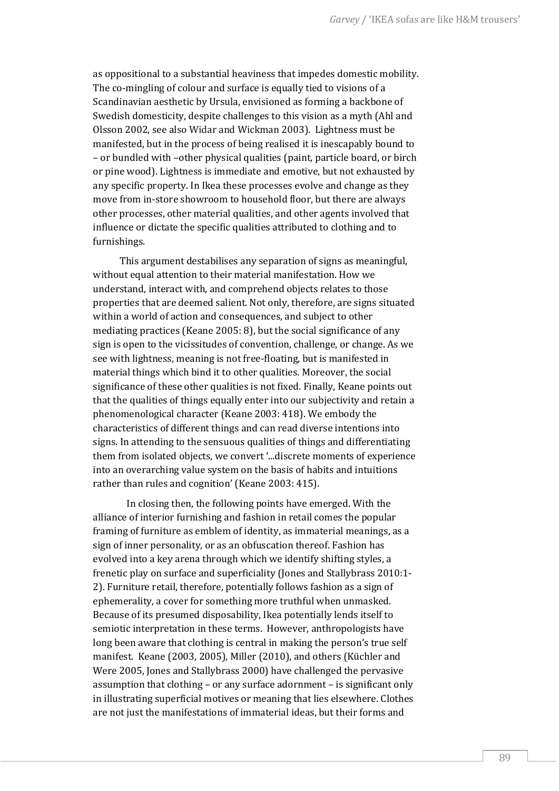as oppositional to a substantial heaviness that impedes domestic mobility. The co-mingling of colour and surface is equally tied to visions of a Scandinavian aesthetic by Ursula, envisioned as forming a backbone of Swedish domesticity, despite challenges to this vision as a myth (Ahl and Olsson 2002, see also Widar and Wickman 2003). Lightness must be manifested, but in the process of being realised it is inescapably bound to – or bundled with –other physical qualities (paint, particle board, or birch or pine wood). Lightness is immediate and emotive, but not exhausted by any specific property. In Ikea these processes evolve and change as they move from in-store showroom to household floor, but there are always other processes, other material qualities, and other agents involved that influence or dictate the specific qualities attributed to clothing and to furnishings.

This argument destabilises any separation of signs as meaningful, without equal attention to their material manifestation. How we understand, interact with, and comprehend objects relates to those properties that are deemed salient. Not only, therefore, are signs situated within a world of action and consequences, and subject to other mediating practices (Keane 2005: 8), but the social significance of any sign is open to the vicissitudes of convention, challenge, or change. As we see with lightness, meaning is not free-floating, but is manifested in material things which bind it to other qualities. Moreover, the social significance of these other qualities is not fixed. Finally, Keane points out that the qualities of things equally enter into our subjectivity and retain a phenomenological character (Keane 2003: 418). We embody the characteristics of different things and can read diverse intentions into signs. In attending to the sensuous qualities of things and differentiating them from isolated objects, we convert '...discrete moments of experience into an overarching value system on the basis of habits and intuitions rather than rules and cognition' (Keane 2003: 415).

In closing then, the following points have emerged. With the alliance of interior furnishing and fashion in retail comes the popular framing of furniture as emblem of identity, as immaterial meanings, as a sign of inner personality, or as an obfuscation thereof. Fashion has evolved into a key arena through which we identify shifting styles, a frenetic play on surface and superficiality (Jones and Stallybrass 2010:1- 2). Furniture retail, therefore, potentially follows fashion as a sign of ephemerality, a cover for something more truthful when unmasked. Because of its presumed disposability, Ikea potentially lends itself to semiotic interpretation in these terms. However, anthropologists have long been aware that clothing is central in making the person's true self manifest. Keane (2003, 2005), Miller (2010), and others (Küchler and Were 2005, Jones and Stallybrass 2000) have challenged the pervasive assumption that clothing – or any surface adornment – is significant only in illustrating superficial motives or meaning that lies elsewhere. Clothes are not just the manifestations of immaterial ideas, but their forms and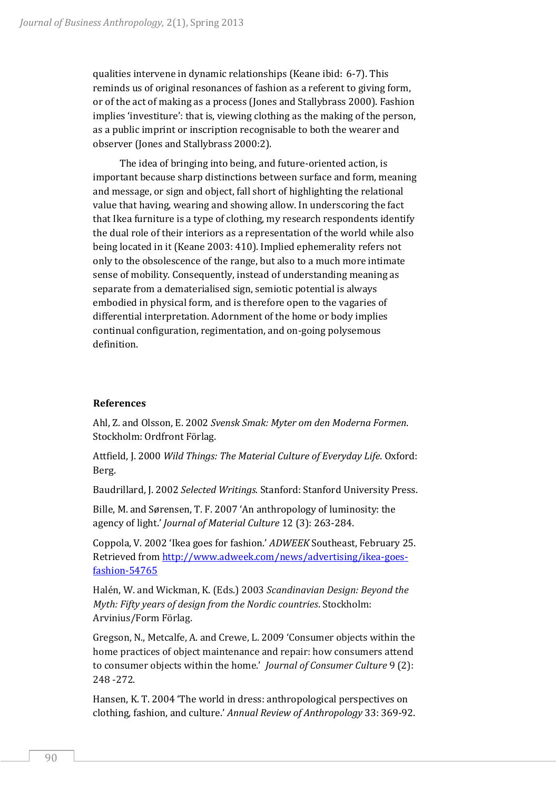qualities intervene in dynamic relationships (Keane ibid: 6-7). This reminds us of original resonances of fashion as a referent to giving form, or of the act of making as a process (Jones and Stallybrass 2000). Fashion implies 'investiture': that is, viewing clothing as the making of the person, as a public imprint or inscription recognisable to both the wearer and observer (Jones and Stallybrass 2000:2).

The idea of bringing into being, and future-oriented action, is important because sharp distinctions between surface and form, meaning and message, or sign and object, fall short of highlighting the relational value that having, wearing and showing allow. In underscoring the fact that Ikea furniture is a type of clothing, my research respondents identify the dual role of their interiors as a representation of the world while also being located in it (Keane 2003: 410). Implied ephemerality refers not only to the obsolescence of the range, but also to a much more intimate sense of mobility. Consequently, instead of understanding meaning as separate from a dematerialised sign, semiotic potential is always embodied in physical form, and is therefore open to the vagaries of differential interpretation. Adornment of the home or body implies continual configuration, regimentation, and on-going polysemous definition.

## **References**

Ahl, Z. and Olsson, E. 2002 *Svensk Smak: Myter om den Moderna Formen*. Stockholm: Ordfront Förlag.

Attfield, J. 2000 *Wild Things: The Material Culture of Everyday Life*. Oxford: Berg.

Baudrillard, J. 2002 *Selected Writings*. Stanford: Stanford University Press.

Bille, M. and Sørensen, T. F. 2007 'An anthropology of luminosity: the agency of light.' *Journal of Material Culture* 12 (3): 263-284.

Coppola, V. 2002 'Ikea goes for fashion.' *ADWEEK* Southeast, February 25. Retrieved from [http://www.adweek.com/news/advertising/ikea-goes](http://www.adweek.com/news/advertising/ikea-goes-fashion-54765)[fashion-54765](http://www.adweek.com/news/advertising/ikea-goes-fashion-54765)

Halén, W. and Wickman, K. (Eds.) 2003 *Scandinavian Design: Beyond the Myth: Fifty years of design from the Nordic countries*. Stockholm: Arvinius/Form Förlag.

Gregson, N., Metcalfe, A. and Crewe, L. 2009 'Consumer objects within the home practices of object maintenance and repair: how consumers attend to consumer objects within the home.' *Journal of Consumer Culture* 9 (2): 248 -272.

Hansen, K. T. 2004 'The world in dress: anthropological perspectives on clothing, fashion, and culture.' *Annual Review of Anthropology* 33: 369-92.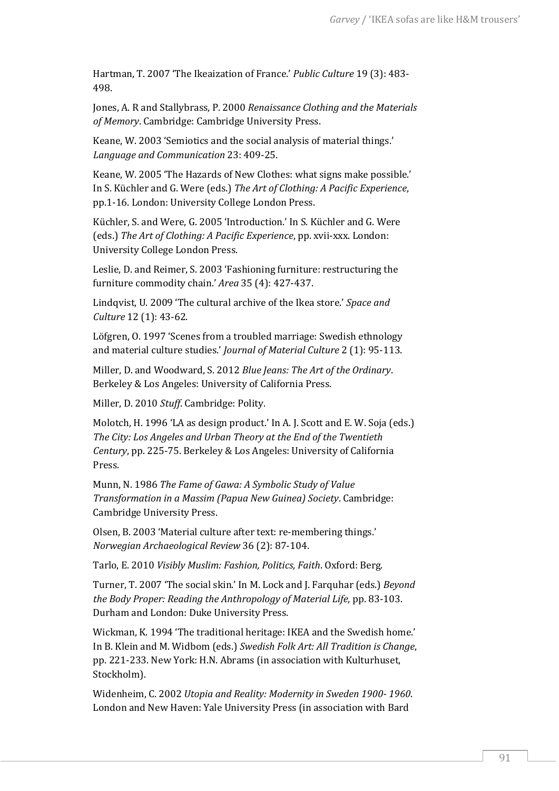Hartman, T. 2007 'The Ikeaization of France.' *Public Culture* 19 (3): 483- 498.

Jones, A. R and Stallybrass, P. 2000 *Renaissance Clothing and the Materials of Memory*. Cambridge: Cambridge University Press.

Keane, W. 2003 'Semiotics and the social analysis of material things.' *Language and Communication* 23: 409-25.

Keane, W. 2005 'The Hazards of New Clothes: what signs make possible.' In S. Küchler and G. Were (eds.) *The Art of Clothing: A Pacific Experience*, pp.1-16. London: University College London Press.

Küchler, S. and Were, G. 2005 'Introduction.' In S. Küchler and G. Were (eds.) *The Art of Clothing: A Pacific Experience*, pp. xvii-xxx. London: University College London Press.

Leslie, D. and Reimer, S. 2003 'Fashioning furniture: restructuring the furniture commodity chain.' *Area* 35 (4): 427-437.

Lindqvist, U. 2009 'The cultural archive of the Ikea store.' *Space and Culture* 12 (1): 43-62.

Löfgren, O. 1997 'Scenes from a troubled marriage: Swedish ethnology and material culture studies.' *Journal of Material Culture* 2 (1): 95-113.

Miller, D. and Woodward, S. 2012 *Blue Jeans: The Art of the Ordinary*. Berkeley & Los Angeles: University of California Press.

Miller, D. 2010 *Stuff*. Cambridge: Polity.

Molotch, H. 1996 'LA as design product.' In A. J. Scott and E. W. Soja (eds.) *The City: Los Angeles and Urban Theory at the End of the Twentieth Century*, pp. 225-75. Berkeley & Los Angeles: University of California Press.

Munn, N. 1986 *The Fame of Gawa: A Symbolic Study of Value Transformation in a Massim (Papua New Guinea) Society*. Cambridge: Cambridge University Press.

Olsen, B. 2003 'Material culture after text: re‐membering things.' *Norwegian Archaeological Review* 36 (2): 87-104.

Tarlo, E. 2010 *Visibly Muslim: Fashion, Politics, Faith*. Oxford: Berg.

Turner, T. 2007 'The social skin.' In M. Lock and J. Farquhar (eds.) *Beyond the Body Proper: Reading the Anthropology of Material Life*, pp. 83-103. Durham and London: Duke University Press.

Wickman, K. 1994 'The traditional heritage: IKEA and the Swedish home.' In B. Klein and M. Widbom (eds.) *Swedish Folk Art: All Tradition is Change*, pp. 221-233. New York: H.N. Abrams (in association with Kulturhuset, Stockholm).

Widenheim, C. 2002 *Utopia and Reality: Modernity in Sweden 1900- 1960*. London and New Haven: Yale University Press (in association with Bard